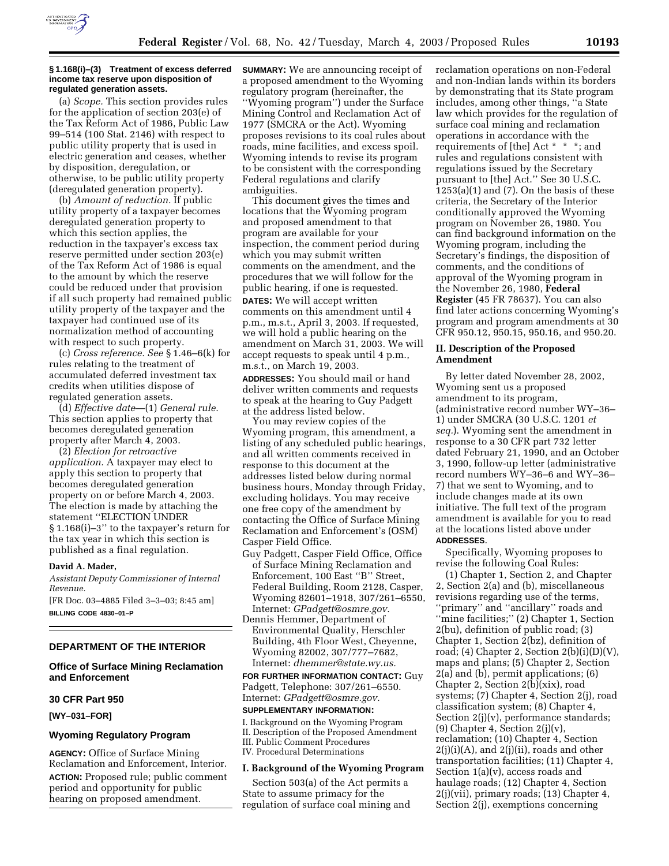

#### **§ 1.168(i)–(3) Treatment of excess deferred income tax reserve upon disposition of regulated generation assets.**

(a) *Scope.* This section provides rules for the application of section 203(e) of the Tax Reform Act of 1986, Public Law 99–514 (100 Stat. 2146) with respect to public utility property that is used in electric generation and ceases, whether by disposition, deregulation, or otherwise, to be public utility property (deregulated generation property).

(b) *Amount of reduction.* If public utility property of a taxpayer becomes deregulated generation property to which this section applies, the reduction in the taxpayer's excess tax reserve permitted under section 203(e) of the Tax Reform Act of 1986 is equal to the amount by which the reserve could be reduced under that provision if all such property had remained public utility property of the taxpayer and the taxpayer had continued use of its normalization method of accounting with respect to such property.

(c) *Cross reference. See* § 1.46–6(k) for rules relating to the treatment of accumulated deferred investment tax credits when utilities dispose of regulated generation assets.

(d) *Effective date*—(1) *General rule.* This section applies to property that becomes deregulated generation property after March 4, 2003.

(2) *Election for retroactive application.* A taxpayer may elect to apply this section to property that becomes deregulated generation property on or before March 4, 2003. The election is made by attaching the statement ''ELECTION UNDER § 1.168(i)–3'' to the taxpayer's return for the tax year in which this section is published as a final regulation.

## **David A. Mader,**

*Assistant Deputy Commissioner of Internal Revenue.*

[FR Doc. 03–4885 Filed 3–3–03; 8:45 am] **BILLING CODE 4830–01–P**

#### **DEPARTMENT OF THE INTERIOR**

**Office of Surface Mining Reclamation and Enforcement** 

# **30 CFR Part 950**

**[WY–031–FOR]** 

# **Wyoming Regulatory Program**

**AGENCY:** Office of Surface Mining Reclamation and Enforcement, Interior. **ACTION:** Proposed rule; public comment period and opportunity for public hearing on proposed amendment.

**SUMMARY:** We are announcing receipt of a proposed amendment to the Wyoming regulatory program (hereinafter, the ''Wyoming program'') under the Surface Mining Control and Reclamation Act of 1977 (SMCRA or the Act). Wyoming proposes revisions to its coal rules about roads, mine facilities, and excess spoil. Wyoming intends to revise its program to be consistent with the corresponding Federal regulations and clarify ambiguities.

This document gives the times and locations that the Wyoming program and proposed amendment to that program are available for your inspection, the comment period during which you may submit written comments on the amendment, and the procedures that we will follow for the public hearing, if one is requested. **DATES:** We will accept written comments on this amendment until 4 p.m., m.s.t., April 3, 2003. If requested, we will hold a public hearing on the amendment on March 31, 2003. We will accept requests to speak until 4 p.m., m.s.t., on March 19, 2003.

**ADDRESSES:** You should mail or hand deliver written comments and requests to speak at the hearing to Guy Padgett at the address listed below.

You may review copies of the Wyoming program, this amendment, a listing of any scheduled public hearings, and all written comments received in response to this document at the addresses listed below during normal business hours, Monday through Friday, excluding holidays. You may receive one free copy of the amendment by contacting the Office of Surface Mining Reclamation and Enforcement's (OSM) Casper Field Office.

- Guy Padgett, Casper Field Office, Office of Surface Mining Reclamation and Enforcement, 100 East ''B'' Street, Federal Building, Room 2128, Casper, Wyoming 82601–1918, 307/261–6550, Internet: *GPadgett@osmre.gov.*
- Dennis Hemmer, Department of Environmental Quality, Herschler Building, 4th Floor West, Cheyenne, Wyoming 82002, 307/777–7682, Internet: *dhemmer@state.wy.us.*

**FOR FURTHER INFORMATION CONTACT:** Guy Padgett, Telephone: 307/261–6550. Internet: *GPadgett@osmre.gov.*

# **SUPPLEMENTARY INFORMATION:**

I. Background on the Wyoming Program II. Description of the Proposed Amendment III. Public Comment Procedures IV. Procedural Determinations

#### **I. Background of the Wyoming Program**

Section 503(a) of the Act permits a State to assume primacy for the regulation of surface coal mining and

reclamation operations on non-Federal and non-Indian lands within its borders by demonstrating that its State program includes, among other things, ''a State law which provides for the regulation of surface coal mining and reclamation operations in accordance with the requirements of [the] Act \* \* \*; and rules and regulations consistent with regulations issued by the Secretary pursuant to [the] Act.'' See 30 U.S.C.  $1253(a)(1)$  and  $(7)$ . On the basis of these criteria, the Secretary of the Interior conditionally approved the Wyoming program on November 26, 1980. You can find background information on the Wyoming program, including the Secretary's findings, the disposition of comments, and the conditions of approval of the Wyoming program in the November 26, 1980, **Federal Register** (45 FR 78637). You can also find later actions concerning Wyoming's program and program amendments at 30 CFR 950.12, 950.15, 950.16, and 950.20.

# **II. Description of the Proposed Amendment**

By letter dated November 28, 2002, Wyoming sent us a proposed amendment to its program, (administrative record number WY–36– 1) under SMCRA (30 U.S.C. 1201 *et seq.*). Wyoming sent the amendment in response to a 30 CFR part 732 letter dated February 21, 1990, and an October 3, 1990, follow-up letter (administrative record numbers WY–36–6 and WY–36– 7) that we sent to Wyoming, and to include changes made at its own initiative. The full text of the program amendment is available for you to read at the locations listed above under **ADDRESSES**.

Specifically, Wyoming proposes to revise the following Coal Rules:

(1) Chapter 1, Section 2, and Chapter 2, Section 2(a) and (b), miscellaneous revisions regarding use of the terms, ''primary'' and ''ancillary'' roads and "mine facilities;" (2) Chapter 1, Section 2(bu), definition of public road; (3) Chapter 1, Section 2(bz), definition of road; (4) Chapter 2, Section  $2(b)(i)(D)(V)$ , maps and plans; (5) Chapter 2, Section 2(a) and (b), permit applications; (6) Chapter 2, Section  $2(\bar{b})(\bar{x}x)$ , road systems; (7) Chapter 4, Section 2(j), road classification system; (8) Chapter 4, Section 2(j)(v), performance standards; (9) Chapter 4, Section  $2(j)(v)$ , reclamation; (10) Chapter 4, Section  $2(j)(i)(A)$ , and  $2(j)(ii)$ , roads and other transportation facilities; (11) Chapter 4, Section 1(a)(v), access roads and haulage roads; (12) Chapter 4, Section 2(j)(vii), primary roads; (13) Chapter 4, Section 2(j), exemptions concerning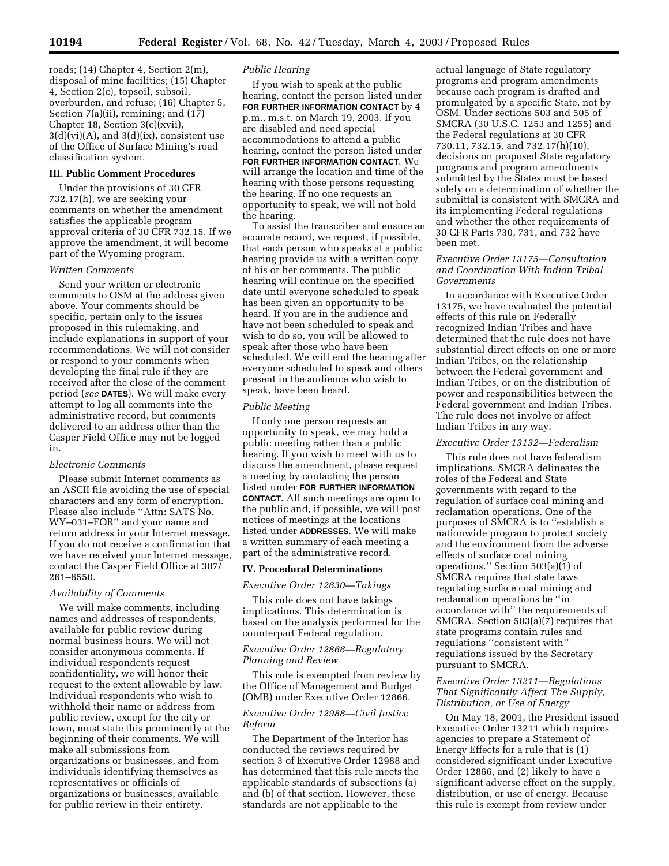roads; (14) Chapter 4, Section 2(m), disposal of mine facilities; (15) Chapter 4, Section 2(c), topsoil, subsoil, overburden, and refuse; (16) Chapter 5, Section 7(a)(ii), remining; and (17) Chapter 18, Section 3(c)(xvii),  $3(d)(vi)(A)$ , and  $3(d)(ix)$ , consistent use of the Office of Surface Mining's road classification system.

# **III. Public Comment Procedures**

Under the provisions of 30 CFR 732.17(h), we are seeking your comments on whether the amendment satisfies the applicable program approval criteria of 30 CFR 732.15. If we approve the amendment, it will become part of the Wyoming program.

### *Written Comments*

Send your written or electronic comments to OSM at the address given above. Your comments should be specific, pertain only to the issues proposed in this rulemaking, and include explanations in support of your recommendations. We will not consider or respond to your comments when developing the final rule if they are received after the close of the comment period (*see* **DATES**). We will make every attempt to log all comments into the administrative record, but comments delivered to an address other than the Casper Field Office may not be logged in.

#### *Electronic Comments*

Please submit Internet comments as an ASCII file avoiding the use of special characters and any form of encryption. Please also include ''Attn: SATS No. WY–031–FOR'' and your name and return address in your Internet message. If you do not receive a confirmation that we have received your Internet message, contact the Casper Field Office at 307/ 261–6550.

## *Availability of Comments*

We will make comments, including names and addresses of respondents, available for public review during normal business hours. We will not consider anonymous comments. If individual respondents request confidentiality, we will honor their request to the extent allowable by law. Individual respondents who wish to withhold their name or address from public review, except for the city or town, must state this prominently at the beginning of their comments. We will make all submissions from organizations or businesses, and from individuals identifying themselves as representatives or officials of organizations or businesses, available for public review in their entirety.

### *Public Hearing*

If you wish to speak at the public hearing, contact the person listed under **FOR FURTHER INFORMATION CONTACT** by 4 p.m., m.s.t. on March 19, 2003. If you are disabled and need special accommodations to attend a public hearing, contact the person listed under **FOR FURTHER INFORMATION CONTACT**. We will arrange the location and time of the hearing with those persons requesting the hearing. If no one requests an opportunity to speak, we will not hold the hearing.

To assist the transcriber and ensure an accurate record, we request, if possible, that each person who speaks at a public hearing provide us with a written copy of his or her comments. The public hearing will continue on the specified date until everyone scheduled to speak has been given an opportunity to be heard. If you are in the audience and have not been scheduled to speak and wish to do so, you will be allowed to speak after those who have been scheduled. We will end the hearing after everyone scheduled to speak and others present in the audience who wish to speak, have been heard.

### *Public Meeting*

If only one person requests an opportunity to speak, we may hold a public meeting rather than a public hearing. If you wish to meet with us to discuss the amendment, please request a meeting by contacting the person listed under **FOR FURTHER INFORMATION CONTACT**. All such meetings are open to the public and, if possible, we will post notices of meetings at the locations listed under **ADDRESSES**. We will make a written summary of each meeting a part of the administrative record.

# **IV. Procedural Determinations**

# *Executive Order 12630—Takings*

This rule does not have takings implications. This determination is based on the analysis performed for the counterpart Federal regulation.

# *Executive Order 12866—Regulatory Planning and Review*

This rule is exempted from review by the Office of Management and Budget (OMB) under Executive Order 12866.

### *Executive Order 12988—Civil Justice Reform*

The Department of the Interior has conducted the reviews required by section 3 of Executive Order 12988 and has determined that this rule meets the applicable standards of subsections (a) and (b) of that section. However, these standards are not applicable to the

actual language of State regulatory programs and program amendments because each program is drafted and promulgated by a specific State, not by OSM. Under sections 503 and 505 of SMCRA (30 U.S.C. 1253 and 1255) and the Federal regulations at 30 CFR 730.11, 732.15, and 732.17(h)(10), decisions on proposed State regulatory programs and program amendments submitted by the States must be based solely on a determination of whether the submittal is consistent with SMCRA and its implementing Federal regulations and whether the other requirements of 30 CFR Parts 730, 731, and 732 have been met.

# *Executive Order 13175—Consultation and Coordination With Indian Tribal Governments*

In accordance with Executive Order 13175, we have evaluated the potential effects of this rule on Federally recognized Indian Tribes and have determined that the rule does not have substantial direct effects on one or more Indian Tribes, on the relationship between the Federal government and Indian Tribes, or on the distribution of power and responsibilities between the Federal government and Indian Tribes. The rule does not involve or affect Indian Tribes in any way.

#### *Executive Order 13132—Federalism*

This rule does not have federalism implications. SMCRA delineates the roles of the Federal and State governments with regard to the regulation of surface coal mining and reclamation operations. One of the purposes of SMCRA is to ''establish a nationwide program to protect society and the environment from the adverse effects of surface coal mining operations." Section  $503(a)(1)$  of SMCRA requires that state laws regulating surface coal mining and reclamation operations be ''in accordance with'' the requirements of SMCRA. Section 503(a)(7) requires that state programs contain rules and regulations ''consistent with'' regulations issued by the Secretary pursuant to SMCRA.

# *Executive Order 13211—Regulations That Significantly Affect The Supply, Distribution, or Use of Energy*

On May 18, 2001, the President issued Executive Order 13211 which requires agencies to prepare a Statement of Energy Effects for a rule that is (1) considered significant under Executive Order 12866, and (2) likely to have a significant adverse effect on the supply, distribution, or use of energy. Because this rule is exempt from review under